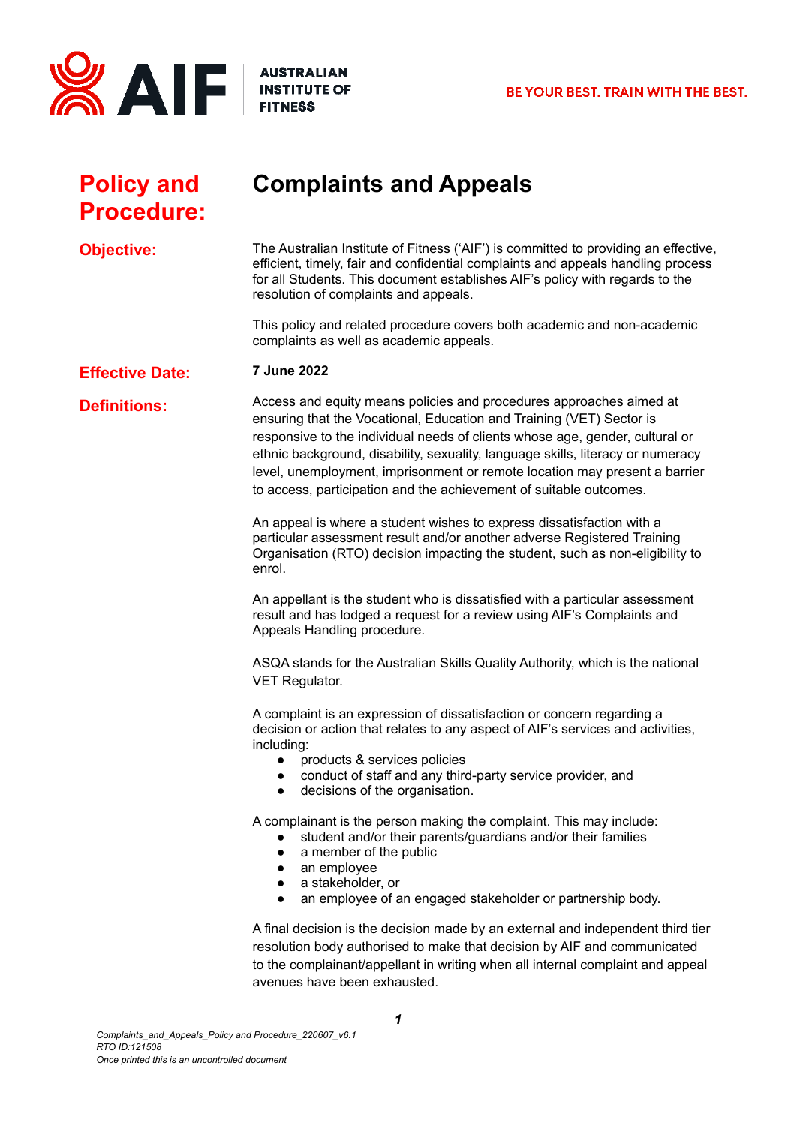

## **Policy and Procedure:**

# **Complaints and Appeals**

**Objective:** The Australian Institute of Fitness ('AIF') is committed to providing an effective, efficient, timely, fair and confidential complaints and appeals handling process for all Students. This document establishes AIF's policy with regards to the resolution of complaints and appeals.

> This policy and related procedure covers both academic and non-academic complaints as well as academic appeals.

#### **Effective Date: 7 June 2022**

**Definitions:** Access and equity means policies and procedures approaches aimed at ensuring that the Vocational, Education and Training (VET) Sector is responsive to the individual needs of clients whose age, gender, cultural or ethnic background, disability, sexuality, language skills, literacy or numeracy level, unemployment, imprisonment or remote location may present a barrier to access, participation and the achievement of suitable outcomes.

> An appeal is where a student wishes to express dissatisfaction with a particular assessment result and/or another adverse Registered Training Organisation (RTO) decision impacting the student, such as non-eligibility to enrol.

An appellant is the student who is dissatisfied with a particular assessment result and has lodged a request for a review using AIF's Complaints and Appeals Handling procedure.

ASQA stands for the Australian Skills Quality Authority, which is the national VET Regulator.

A complaint is an expression of dissatisfaction or concern regarding a decision or action that relates to any aspect of AIF's services and activities, including:

- products & services policies
- conduct of staff and any third-party service provider, and
- decisions of the organisation.

A complainant is the person making the complaint. This may include:

- student and/or their parents/guardians and/or their families
- a member of the public
- an employee
- a stakeholder, or
- an employee of an engaged stakeholder or partnership body.

A final decision is the decision made by an external and independent third tier resolution body authorised to make that decision by AIF and communicated to the complainant/appellant in writing when all internal complaint and appeal avenues have been exhausted.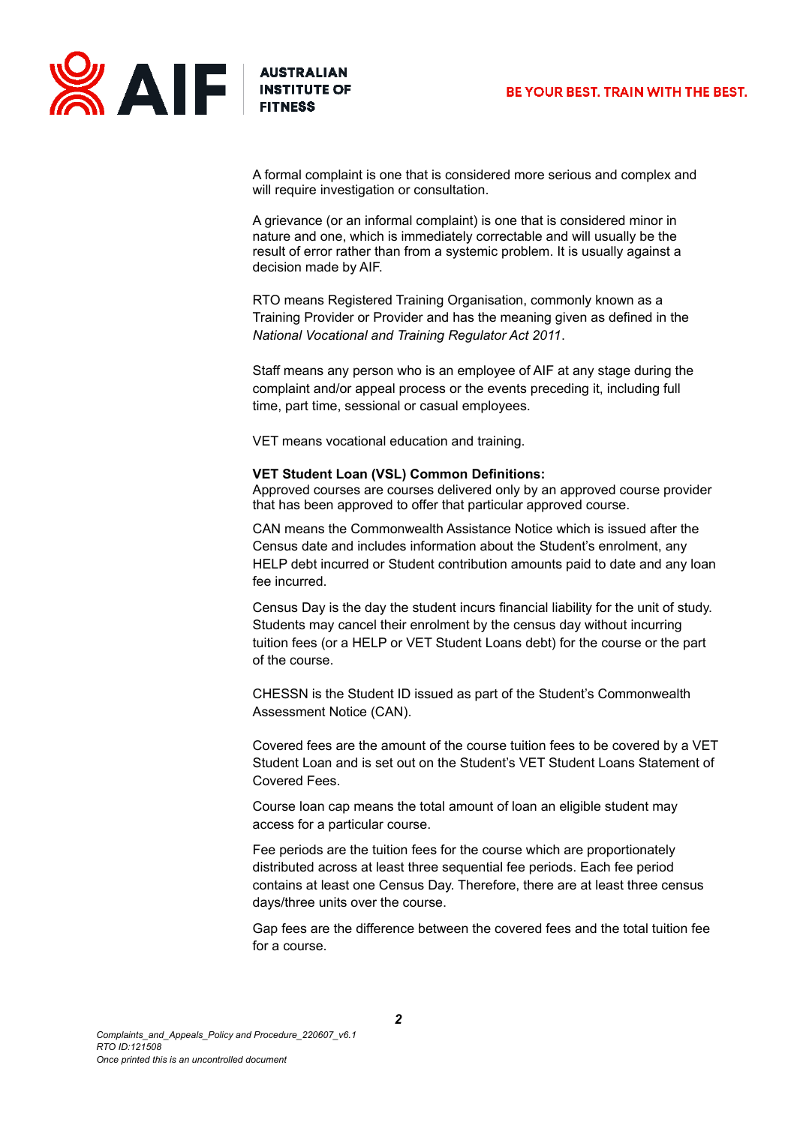

A formal complaint is one that is considered more serious and complex and will require investigation or consultation.

A grievance (or an informal complaint) is one that is considered minor in nature and one, which is immediately correctable and will usually be the result of error rather than from a systemic problem. It is usually against a decision made by AIF.

RTO means Registered Training Organisation, commonly known as a Training Provider or Provider and has the meaning given as defined in the *National Vocational and Training Regulator Act 2011*.

Staff means any person who is an employee of AIF at any stage during the complaint and/or appeal process or the events preceding it, including full time, part time, sessional or casual employees.

VET means vocational education and training.

#### **VET Student Loan (VSL) Common Definitions:**

Approved courses are courses delivered only by an approved course provider that has been approved to offer that particular approved course.

CAN means the Commonwealth Assistance Notice which is issued after the Census date and includes information about the Student's enrolment, any HELP debt incurred or Student contribution amounts paid to date and any loan fee incurred.

Census Day is the day the student incurs financial liability for the unit of study. Students may cancel their enrolment by the census day without incurring tuition fees (or a HELP or VET Student Loans debt) for the course or the part of the course.

CHESSN is the Student ID issued as part of the Student's Commonwealth Assessment Notice (CAN).

Covered fees are the amount of the course tuition fees to be covered by a VET Student Loan and is set out on the Student's VET Student Loans Statement of Covered Fees.

Course loan cap means the total amount of loan an eligible student may access for a particular course.

Fee periods are the tuition fees for the course which are proportionately distributed across at least three sequential fee periods. Each fee period contains at least one Census Day. Therefore, there are at least three census days/three units over the course.

Gap fees are the difference between the covered fees and the total tuition fee for a course.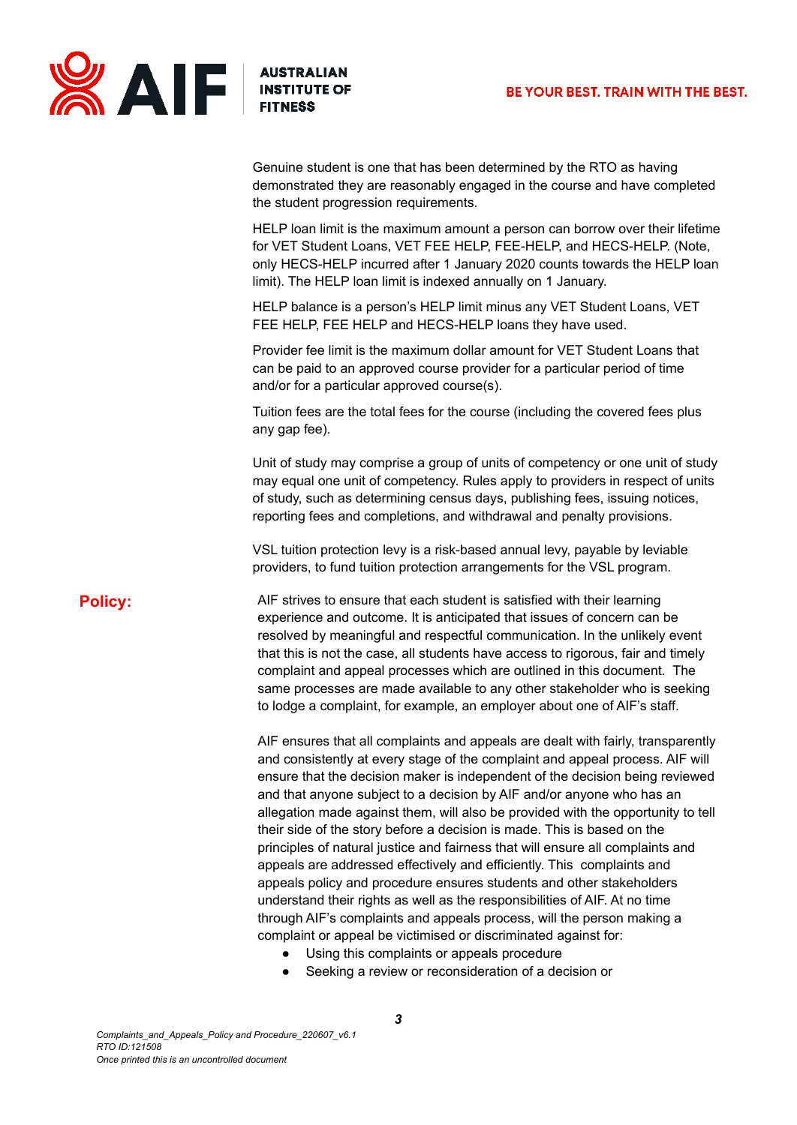

Genuine student is one that has been determined by the RTO as having demonstrated they are reasonably engaged in the course and have completed the student progression requirements.

HELP loan limit is the maximum amount a person can borrow over their lifetime for VET Student Loans, VET FEE HELP, FEE-HELP, and HECS-HELP. (Note, only HECS-HELP incurred after 1 January 2020 counts towards the HELP loan limit). The HELP loan limit is indexed annually on 1 January.

HELP balance is a person's HELP limit minus any VET Student Loans, VET FEE HELP, FEE HELP and HECS-HELP loans they have used.

Provider fee limit is the maximum dollar amount for VET Student Loans that can be paid to an approved course provider for a particular period of time and/or for a particular approved course(s).

Tuition fees are the total fees for the course (including the covered fees plus any gap fee).

Unit of study may comprise a group of units of competency or one unit of study may equal one unit of competency. Rules apply to providers in respect of units of study, such as determining census days, publishing fees, issuing notices, reporting fees and completions, and withdrawal and penalty provisions.

VSL tuition protection levy is a risk-based annual levy, payable by leviable providers, to fund tuition protection arrangements for the VSL program.

**Policy:** AIF strives to ensure that each student is satisfied with their learning experience and outcome. It is anticipated that issues of concern can be resolved by meaningful and respectful communication. In the unlikely event that this is not the case, all students have access to rigorous, fair and timely complaint and appeal processes which are outlined in this document. The same processes are made available to any other stakeholder who is seeking to lodge a complaint, for example, an employer about one of AIF's staff.

> AIF ensures that all complaints and appeals are dealt with fairly, transparently and consistently at every stage of the complaint and appeal process. AIF will ensure that the decision maker is independent of the decision being reviewed and that anyone subject to a decision by AIF and/or anyone who has an allegation made against them, will also be provided with the opportunity to tell their side of the story before a decision is made. This is based on the principles of natural justice and fairness that will ensure all complaints and appeals are addressed effectively and efficiently. This complaints and appeals policy and procedure ensures students and other stakeholders understand their rights as well as the responsibilities of AIF. At no time through AIF's complaints and appeals process, will the person making a complaint or appeal be victimised or discriminated against for:

- Using this complaints or appeals procedure
- Seeking a review or reconsideration of a decision or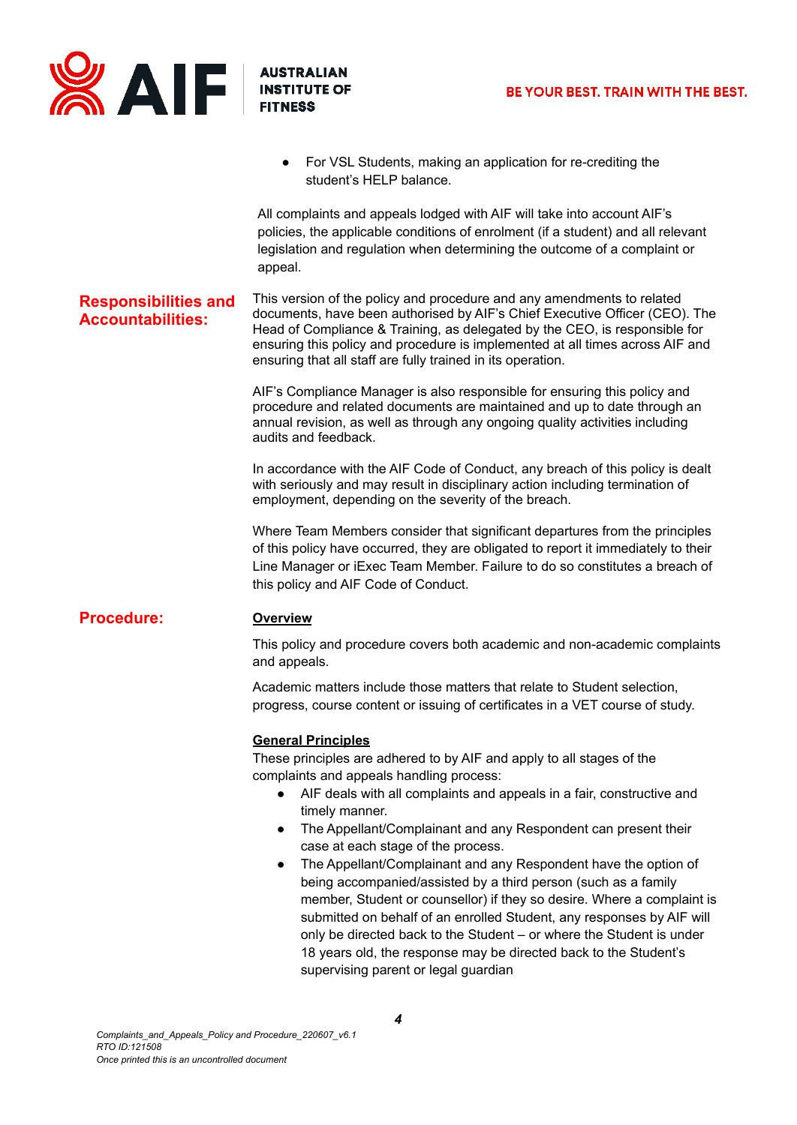

For VSL Students, making an application for re-crediting the student's HELP balance.

All complaints and appeals lodged with AIF will take into account AIF's policies, the applicable conditions of enrolment (if a student) and all relevant legislation and regulation when determining the outcome of a complaint or appeal.

#### **Responsibilities and Accountabilities:** This version of the policy and procedure and any amendments to related documents, have been authorised by AIF's Chief Executive Officer (CEO). The Head of Compliance & Training, as delegated by the CEO, is responsible for ensuring this policy and procedure is implemented at all times across AIF and ensuring that all staff are fully trained in its operation.

AIF's Compliance Manager is also responsible for ensuring this policy and procedure and related documents are maintained and up to date through an annual revision, as well as through any ongoing quality activities including audits and feedback.

In accordance with the AIF Code of Conduct, any breach of this policy is dealt with seriously and may result in disciplinary action including termination of employment, depending on the severity of the breach.

Where Team Members consider that significant departures from the principles of this policy have occurred, they are obligated to report it immediately to their Line Manager or iExec Team Member. Failure to do so constitutes a breach of this policy and AIF Code of Conduct.

## **Procedure: Overview**

This policy and procedure covers both academic and non-academic complaints and appeals.

Academic matters include those matters that relate to Student selection, progress, course content or issuing of certificates in a VET course of study.

#### **General Principles**

These principles are adhered to by AIF and apply to all stages of the complaints and appeals handling process:

- AIF deals with all complaints and appeals in a fair, constructive and timely manner.
- The Appellant/Complainant and any Respondent can present their case at each stage of the process.
- The Appellant/Complainant and any Respondent have the option of being accompanied/assisted by a third person (such as a family member, Student or counsellor) if they so desire. Where a complaint is submitted on behalf of an enrolled Student, any responses by AIF will only be directed back to the Student – or where the Student is under 18 years old, the response may be directed back to the Student's supervising parent or legal guardian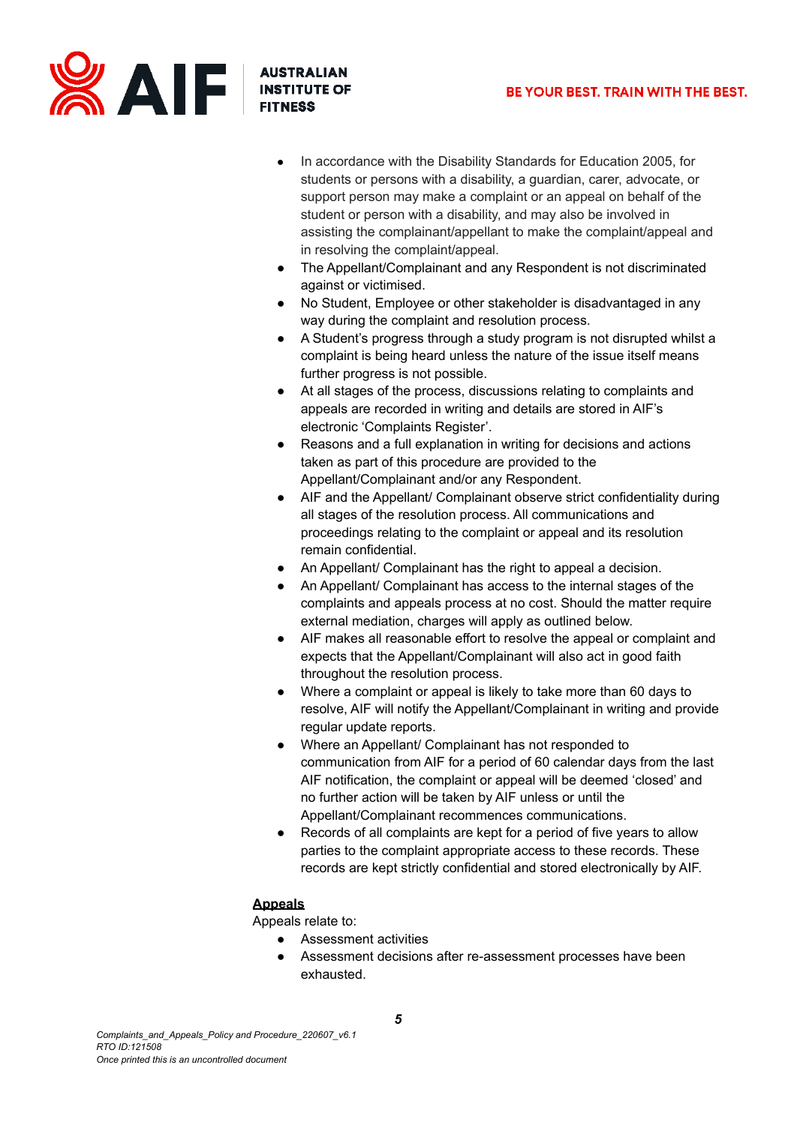

- In accordance with the Disability Standards for Education 2005, for students or persons with a disability, a guardian, carer, advocate, or support person may make a complaint or an appeal on behalf of the student or person with a disability, and may also be involved in assisting the complainant/appellant to make the complaint/appeal and in resolving the complaint/appeal.
- The Appellant/Complainant and any Respondent is not discriminated against or victimised.
- No Student, Employee or other stakeholder is disadvantaged in any way during the complaint and resolution process.
- A Student's progress through a study program is not disrupted whilst a complaint is being heard unless the nature of the issue itself means further progress is not possible.
- At all stages of the process, discussions relating to complaints and appeals are recorded in writing and details are stored in AIF's electronic 'Complaints Register'.
- Reasons and a full explanation in writing for decisions and actions taken as part of this procedure are provided to the Appellant/Complainant and/or any Respondent.
- AIF and the Appellant/ Complainant observe strict confidentiality during all stages of the resolution process. All communications and proceedings relating to the complaint or appeal and its resolution remain confidential.
- An Appellant/ Complainant has the right to appeal a decision.
- An Appellant/ Complainant has access to the internal stages of the complaints and appeals process at no cost. Should the matter require external mediation, charges will apply as outlined below.
- AIF makes all reasonable effort to resolve the appeal or complaint and expects that the Appellant/Complainant will also act in good faith throughout the resolution process.
- Where a complaint or appeal is likely to take more than 60 days to resolve, AIF will notify the Appellant/Complainant in writing and provide regular update reports.
- Where an Appellant/ Complainant has not responded to communication from AIF for a period of 60 calendar days from the last AIF notification, the complaint or appeal will be deemed 'closed' and no further action will be taken by AIF unless or until the Appellant/Complainant recommences communications.
- Records of all complaints are kept for a period of five years to allow parties to the complaint appropriate access to these records. These records are kept strictly confidential and stored electronically by AIF.

## **Appeals**

Appeals relate to:

- Assessment activities
- Assessment decisions after re-assessment processes have been exhausted.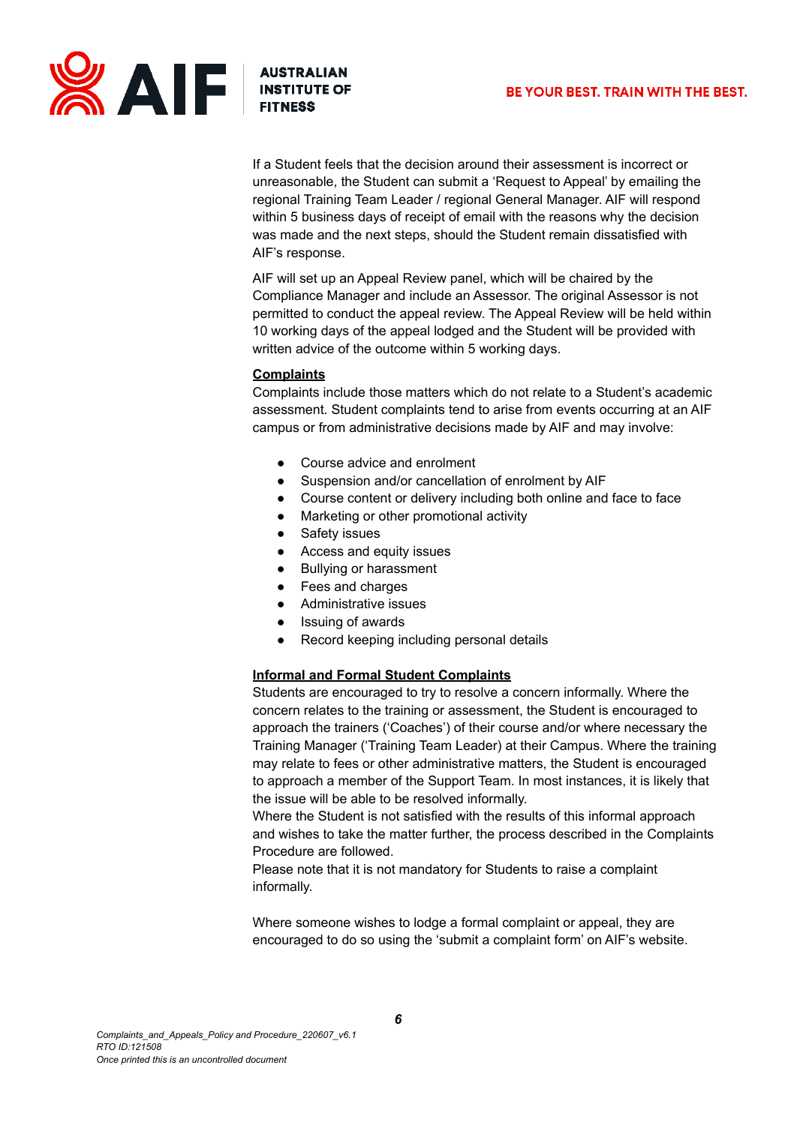

If a Student feels that the decision around their assessment is incorrect or unreasonable, the Student can submit a 'Request to Appeal' by emailing the regional Training Team Leader / regional General Manager. AIF will respond within 5 business days of receipt of email with the reasons why the decision was made and the next steps, should the Student remain dissatisfied with AIF's response.

AIF will set up an Appeal Review panel, which will be chaired by the Compliance Manager and include an Assessor. The original Assessor is not permitted to conduct the appeal review. The Appeal Review will be held within 10 working days of the appeal lodged and the Student will be provided with written advice of the outcome within 5 working days.

## **Complaints**

Complaints include those matters which do not relate to a Student's academic assessment. Student complaints tend to arise from events occurring at an AIF campus or from administrative decisions made by AIF and may involve:

- Course advice and enrolment
- Suspension and/or cancellation of enrolment by AIF
- Course content or delivery including both online and face to face
- Marketing or other promotional activity
- Safety issues
- Access and equity issues
- **Bullying or harassment**
- Fees and charges
- Administrative issues
- Issuing of awards
- Record keeping including personal details

## **Informal and Formal Student Complaints**

Students are encouraged to try to resolve a concern informally. Where the concern relates to the training or assessment, the Student is encouraged to approach the trainers ('Coaches') of their course and/or where necessary the Training Manager ('Training Team Leader) at their Campus. Where the training may relate to fees or other administrative matters, the Student is encouraged to approach a member of the Support Team. In most instances, it is likely that the issue will be able to be resolved informally.

Where the Student is not satisfied with the results of this informal approach and wishes to take the matter further, the process described in the Complaints Procedure are followed.

Please note that it is not mandatory for Students to raise a complaint informally.

Where someone wishes to lodge a formal complaint or appeal, they are encouraged to do so using the 'submit a complaint form' on AIF's website.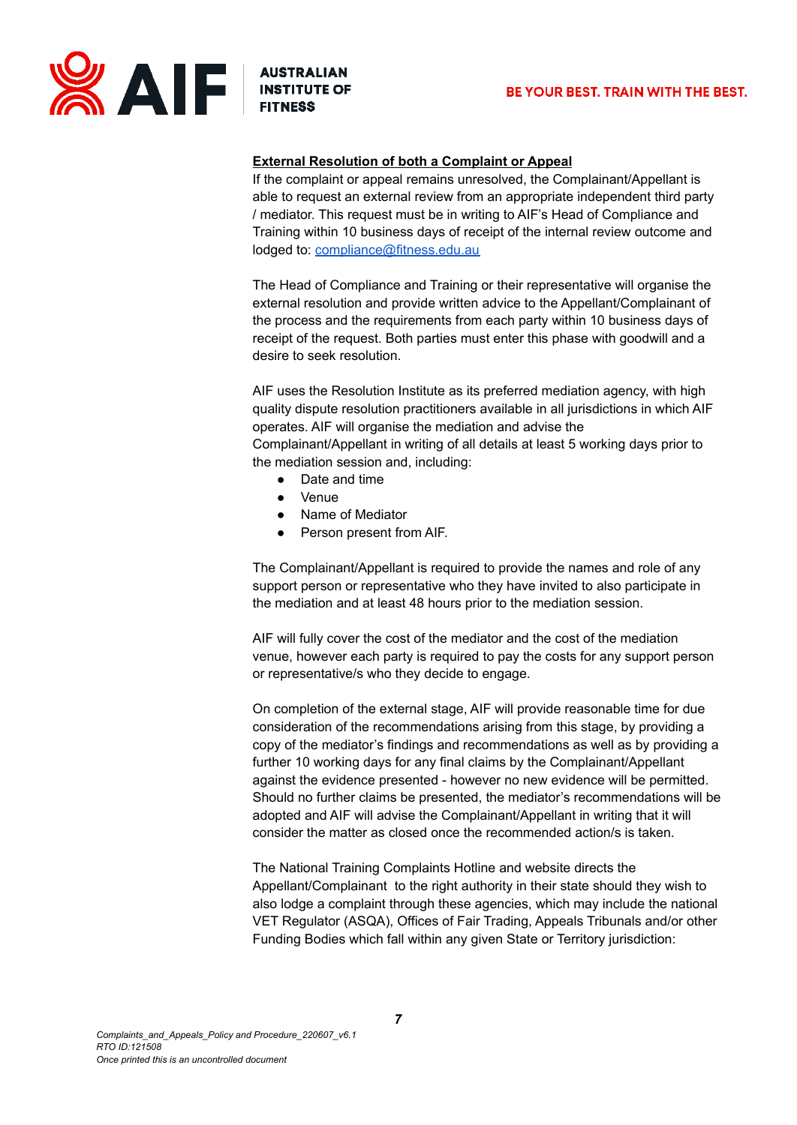



## **External Resolution of both a Complaint or Appeal**

If the complaint or appeal remains unresolved, the Complainant/Appellant is able to request an external review from an appropriate independent third party / mediator. This request must be in writing to AIF's Head of Compliance and Training within 10 business days of receipt of the internal review outcome and lodged to: [compliance@fitness.edu.au](mailto:compliance@fitness.edu.au)

The Head of Compliance and Training or their representative will organise the external resolution and provide written advice to the Appellant/Complainant of the process and the requirements from each party within 10 business days of receipt of the request. Both parties must enter this phase with goodwill and a desire to seek resolution.

AIF uses the Resolution Institute as its preferred mediation agency, with high quality dispute resolution practitioners available in all jurisdictions in which AIF operates. AIF will organise the mediation and advise the Complainant/Appellant in writing of all details at least 5 working days prior to the mediation session and, including:

- Date and time
- Venue
- Name of Mediator
- Person present from AIF.

The Complainant/Appellant is required to provide the names and role of any support person or representative who they have invited to also participate in the mediation and at least 48 hours prior to the mediation session.

AIF will fully cover the cost of the mediator and the cost of the mediation venue, however each party is required to pay the costs for any support person or representative/s who they decide to engage.

On completion of the external stage, AIF will provide reasonable time for due consideration of the recommendations arising from this stage, by providing a copy of the mediator's findings and recommendations as well as by providing a further 10 working days for any final claims by the Complainant/Appellant against the evidence presented - however no new evidence will be permitted. Should no further claims be presented, the mediator's recommendations will be adopted and AIF will advise the Complainant/Appellant in writing that it will consider the matter as closed once the recommended action/s is taken.

The National Training Complaints Hotline and website directs the Appellant/Complainant to the right authority in their state should they wish to also lodge a complaint through these agencies, which may include the national VET Regulator (ASQA), Offices of Fair Trading, Appeals Tribunals and/or other Funding Bodies which fall within any given State or Territory jurisdiction: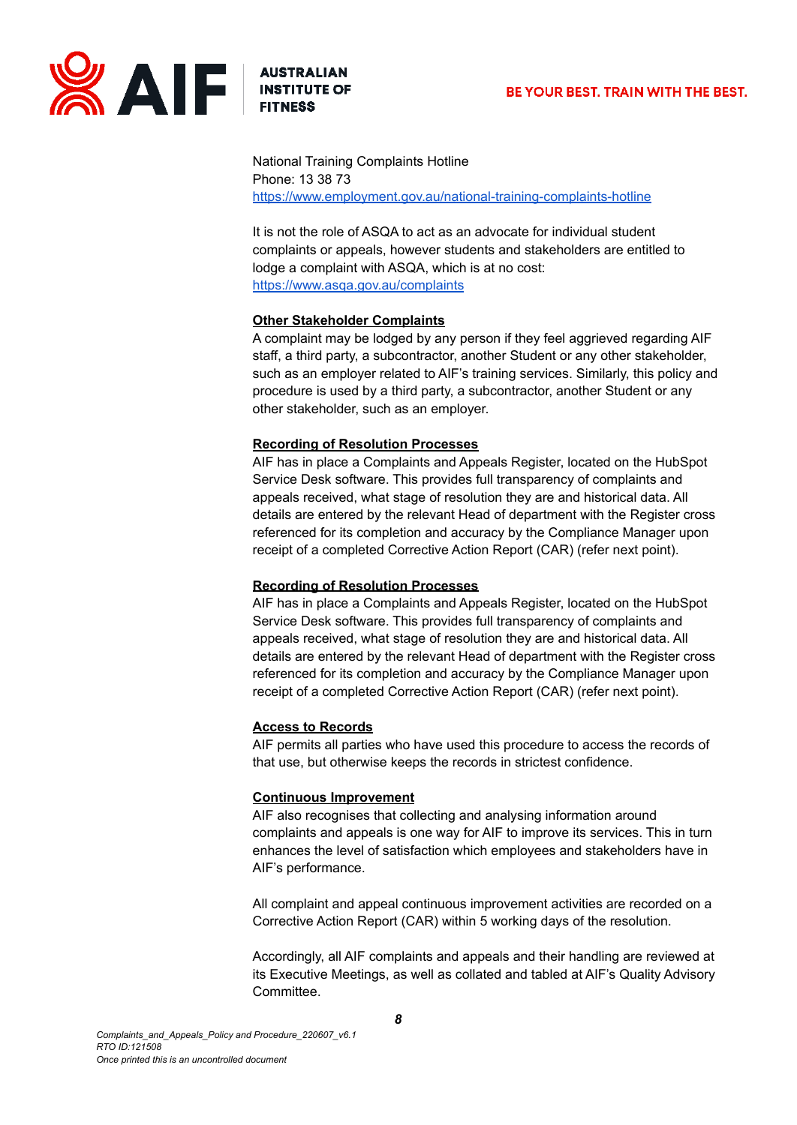



National Training Complaints Hotline Phone: 13 38 73 <https://www.employment.gov.au/national-training-complaints-hotline>

It is not the role of ASQA to act as an advocate for individual student complaints or appeals, however students and stakeholders are entitled to lodge a complaint with ASQA, which is at no cost: <https://www.asqa.gov.au/complaints>

## **Other Stakeholder Complaints**

A complaint may be lodged by any person if they feel aggrieved regarding AIF staff, a third party, a subcontractor, another Student or any other stakeholder, such as an employer related to AIF's training services. Similarly, this policy and procedure is used by a third party, a subcontractor, another Student or any other stakeholder, such as an employer.

## **Recording of Resolution Processes**

AIF has in place a Complaints and Appeals Register, located on the HubSpot Service Desk software. This provides full transparency of complaints and appeals received, what stage of resolution they are and historical data. All details are entered by the relevant Head of department with the Register cross referenced for its completion and accuracy by the Compliance Manager upon receipt of a completed Corrective Action Report (CAR) (refer next point).

## **Recording of Resolution Processes**

AIF has in place a Complaints and Appeals Register, located on the HubSpot Service Desk software. This provides full transparency of complaints and appeals received, what stage of resolution they are and historical data. All details are entered by the relevant Head of department with the Register cross referenced for its completion and accuracy by the Compliance Manager upon receipt of a completed Corrective Action Report (CAR) (refer next point).

## **Access to Records**

AIF permits all parties who have used this procedure to access the records of that use, but otherwise keeps the records in strictest confidence.

## **Continuous Improvement**

AIF also recognises that collecting and analysing information around complaints and appeals is one way for AIF to improve its services. This in turn enhances the level of satisfaction which employees and stakeholders have in AIF's performance.

All complaint and appeal continuous improvement activities are recorded on a Corrective Action Report (CAR) within 5 working days of the resolution.

Accordingly, all AIF complaints and appeals and their handling are reviewed at its Executive Meetings, as well as collated and tabled at AIF's Quality Advisory Committee.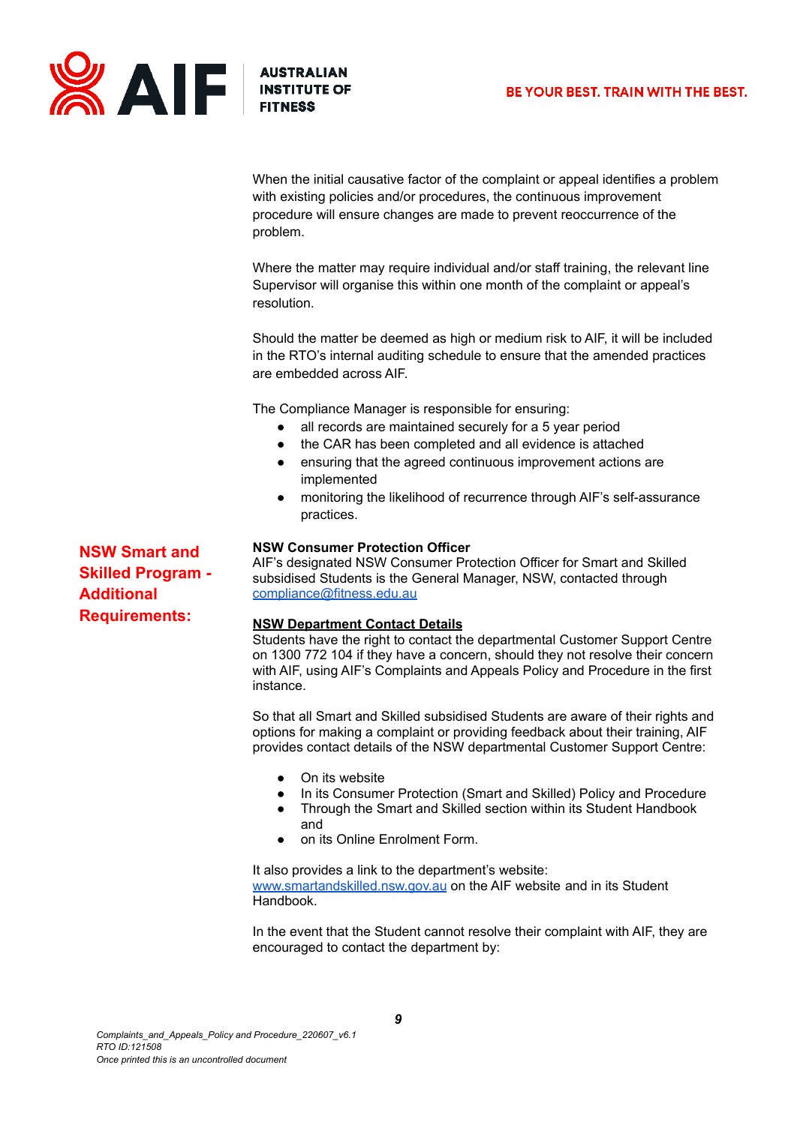

When the initial causative factor of the complaint or appeal identifies a problem with existing policies and/or procedures, the continuous improvement procedure will ensure changes are made to prevent reoccurrence of the problem.

Where the matter may require individual and/or staff training, the relevant line Supervisor will organise this within one month of the complaint or appeal's resolution.

Should the matter be deemed as high or medium risk to AIF, it will be included in the RTO's internal auditing schedule to ensure that the amended practices are embedded across AIF.

The Compliance Manager is responsible for ensuring:

- all records are maintained securely for a 5 year period
- the CAR has been completed and all evidence is attached
- ensuring that the agreed continuous improvement actions are implemented
- monitoring the likelihood of recurrence through AIF's self-assurance practices.

#### **NSW Consumer Protection Officer**

AIF's designated NSW Consumer Protection Officer for Smart and Skilled subsidised Students is the General Manager, NSW, contacted through [compliance@fitness.edu.au](mailto:compliance@fitness.edu.au)

#### **NSW Department Contact Details**

Students have the right to contact the departmental Customer Support Centre on 1300 772 104 if they have a concern, should they not resolve their concern with AIF, using AIF's Complaints and Appeals Policy and Procedure in the first instance.

So that all Smart and Skilled subsidised Students are aware of their rights and options for making a complaint or providing feedback about their training, AIF provides contact details of the NSW departmental Customer Support Centre:

- On its website
- In its Consumer Protection (Smart and Skilled) Policy and Procedure
- Through the Smart and Skilled section within its Student Handbook
- and
- on its Online Enrolment Form.

It also provides a link to the department's website: [www.smartandskilled.nsw.gov.au](http://www.smartandskilled.nsw.gov.au) on the AIF website and in its Student Handbook.

In the event that the Student cannot resolve their complaint with AIF, they are encouraged to contact the department by:

**NSW Smart and Skilled Program - Additional Requirements:**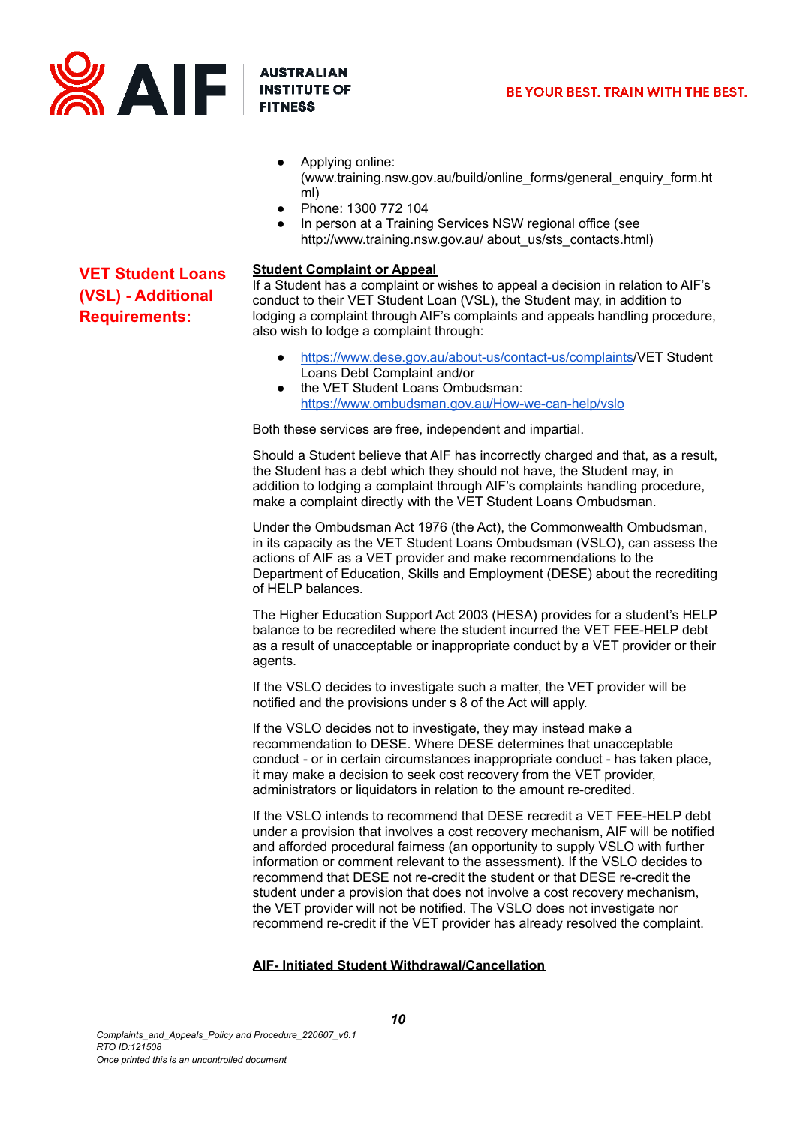

**VET Student Loans (VSL) - Additional Requirements:**

- Applying online: [\(www.training.nsw.gov.](http://www.training.nsw.gov)au/build/online\_forms/general\_enquiry\_form.ht ml)
- Phone: 1300 772 104
- In person at a Training Services NSW regional office (see http://www.training.nsw.gov.au/ about\_us/sts\_contacts.html)

#### **Student Complaint or Appeal**

If a Student has a complaint or wishes to appeal a decision in relation to AIF's conduct to their VET Student Loan (VSL), the Student may, in addition to lodging a complaint through AIF's complaints and appeals handling procedure, also wish to lodge a complaint through:

- [https://www.dese.gov.au/about-us/contact-us/complaints/](https://www.dese.gov.au/about-us/contact-us/complaints)VET [Student](https://www.dese.gov.au/node/7773) Loans Debt [Complaint](https://www.dese.gov.au/node/7773) and/or
- the VET Student Loans Ombudsman: <https://www.ombudsman.gov.au/How-we-can-help/vslo>

Both these services are free, independent and impartial.

Should a Student believe that AIF has incorrectly charged and that, as a result, the Student has a debt which they should not have, the Student may, in addition to lodging a complaint through AIF's complaints handling procedure, make a complaint directly with the VET Student Loans Ombudsman.

Under the Ombudsman Act 1976 (the Act), the Commonwealth Ombudsman, in its capacity as the VET Student Loans Ombudsman (VSLO), can assess the actions of AIF as a VET provider and make recommendations to the Department of Education, Skills and Employment (DESE) about the recrediting of HELP balances.

The Higher Education Support Act 2003 (HESA) provides for a student's HELP balance to be recredited where the student incurred the VET FEE-HELP debt as a result of unacceptable or inappropriate conduct by a VET provider or their agents.

If the VSLO decides to investigate such a matter, the VET provider will be notified and the provisions under s 8 of the Act will apply.

If the VSLO decides not to investigate, they may instead make a recommendation to DESE. Where DESE determines that unacceptable conduct - or in certain circumstances inappropriate conduct - has taken place, it may make a decision to seek cost recovery from the VET provider, administrators or liquidators in relation to the amount re-credited.

If the VSLO intends to recommend that DESE recredit a VET FEE-HELP debt under a provision that involves a cost recovery mechanism, AIF will be notified and afforded procedural fairness (an opportunity to supply VSLO with further information or comment relevant to the assessment). If the VSLO decides to recommend that DESE not re-credit the student or that DESE re-credit the student under a provision that does not involve a cost recovery mechanism, the VET provider will not be notified. The VSLO does not investigate nor recommend re-credit if the VET provider has already resolved the complaint.

## **AIF- Initiated Student Withdrawal/Cancellation**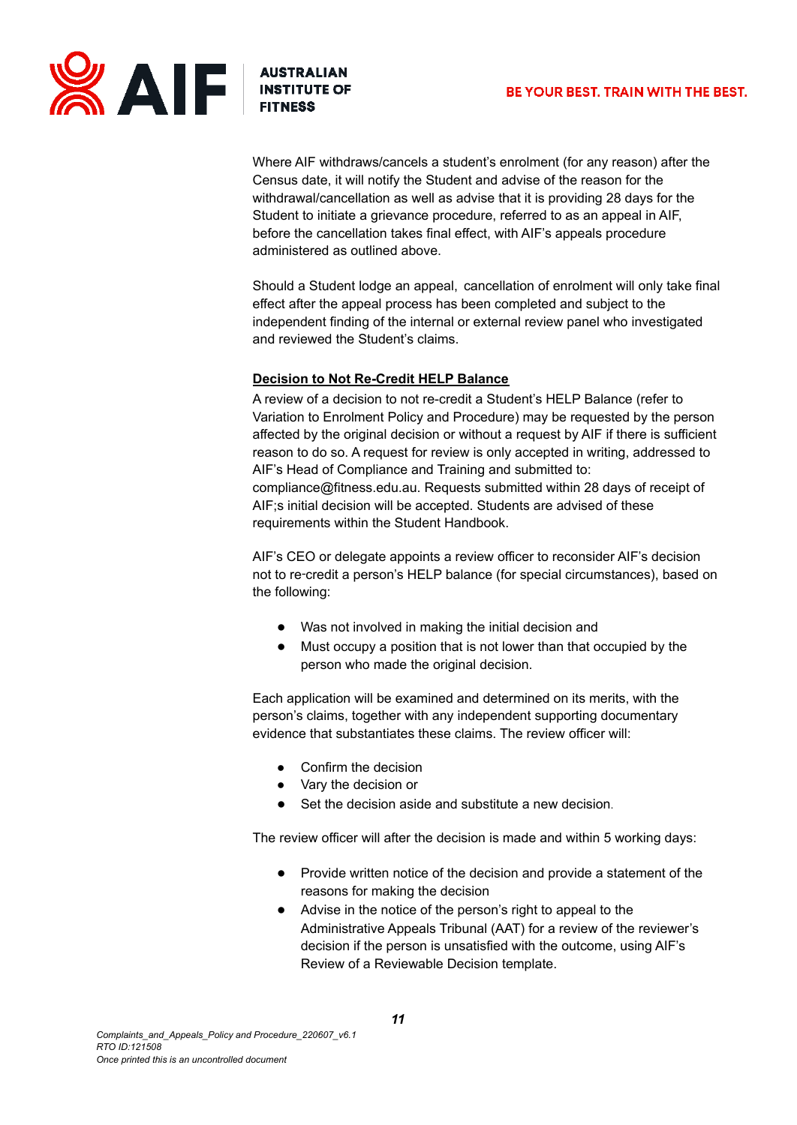

Where AIF withdraws/cancels a student's enrolment (for any reason) after the Census date, it will notify the Student and advise of the reason for the withdrawal/cancellation as well as advise that it is providing 28 days for the Student to initiate a grievance procedure, referred to as an appeal in AIF, before the cancellation takes final effect, with AIF's appeals procedure administered as outlined above.

Should a Student lodge an appeal, cancellation of enrolment will only take final effect after the appeal process has been completed and subject to the independent finding of the internal or external review panel who investigated and reviewed the Student's claims.

## **Decision to Not Re-Credit HELP Balance**

A review of a decision to not re-credit a Student's HELP Balance (refer to Variation to Enrolment Policy and Procedure) may be requested by the person affected by the original decision or without a request by AIF if there is sufficient reason to do so. A request for review is only accepted in writing, addressed to AIF's Head of Compliance and Training and submitted to: [compliance@fitness.edu.au.](mailto:compliance@fitness.edu.au) Requests submitted within 28 days of receipt of AIF;s initial decision will be accepted. Students are advised of these requirements within the Student Handbook.

AIF's CEO or delegate appoints a review officer to reconsider AIF's decision not to re‑credit a person's HELP balance (for special circumstances), based on the following:

- Was not involved in making the initial decision and
- Must occupy a position that is not lower than that occupied by the person who made the original decision.

Each application will be examined and determined on its merits, with the person's claims, together with any independent supporting documentary evidence that substantiates these claims. The review officer will:

- Confirm the decision
- Vary the decision or
- Set the decision aside and substitute a new decision.

The review officer will after the decision is made and within 5 working days:

- Provide written notice of the decision and provide a statement of the reasons for making the decision
- Advise in the notice of the person's right to appeal to the Administrative Appeals Tribunal (AAT) for a review of the reviewer's decision if the person is unsatisfied with the outcome, using AIF's Review of a Reviewable Decision template.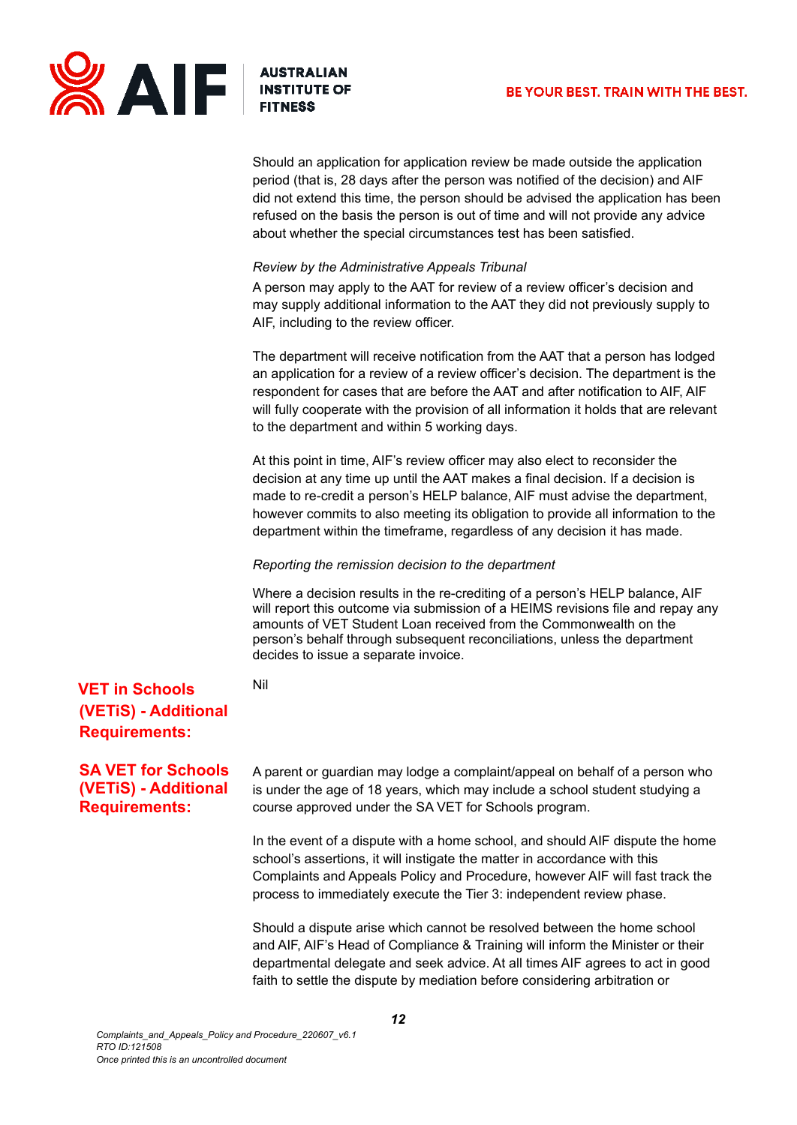

Should an application for application review be made outside the application period (that is, 28 days after the person was notified of the decision) and AIF did not extend this time, the person should be advised the application has been refused on the basis the person is out of time and will not provide any advice about whether the special circumstances test has been satisfied.

#### *Review by the Administrative Appeals Tribunal*

A person may apply to the AAT for review of a review officer's decision and may supply additional information to the AAT they did not previously supply to AIF, including to the review officer.

The department will receive notification from the AAT that a person has lodged an application for a review of a review officer's decision. The department is the respondent for cases that are before the AAT and after notification to AIF, AIF will fully cooperate with the provision of all information it holds that are relevant to the department and within 5 working days.

At this point in time, AIF's review officer may also elect to reconsider the decision at any time up until the AAT makes a final decision. If a decision is made to re-credit a person's HELP balance, AIF must advise the department, however commits to also meeting its obligation to provide all information to the department within the timeframe, regardless of any decision it has made.

#### *Reporting the remission decision to the department*

Where a decision results in the re-crediting of a person's HELP balance, AIF will report this outcome via submission of a HEIMS revisions file and repay any amounts of VET Student Loan received from the Commonwealth on the person's behalf through subsequent reconciliations, unless the department decides to issue a separate invoice.

Nil

## **VET in Schools (VETiS) - Additional Requirements:**

## **SA VET for Schools (VETiS) - Additional Requirements:**

A parent or guardian may lodge a complaint/appeal on behalf of a person who is under the age of 18 years, which may include a school student studying a course approved under the SA VET for Schools program.

In the event of a dispute with a home school, and should AIF dispute the home school's assertions, it will instigate the matter in accordance with this Complaints and Appeals Policy and Procedure, however AIF will fast track the process to immediately execute the Tier 3: independent review phase.

Should a dispute arise which cannot be resolved between the home school and AIF, AIF's Head of Compliance & Training will inform the Minister or their departmental delegate and seek advice. At all times AIF agrees to act in good faith to settle the dispute by mediation before considering arbitration or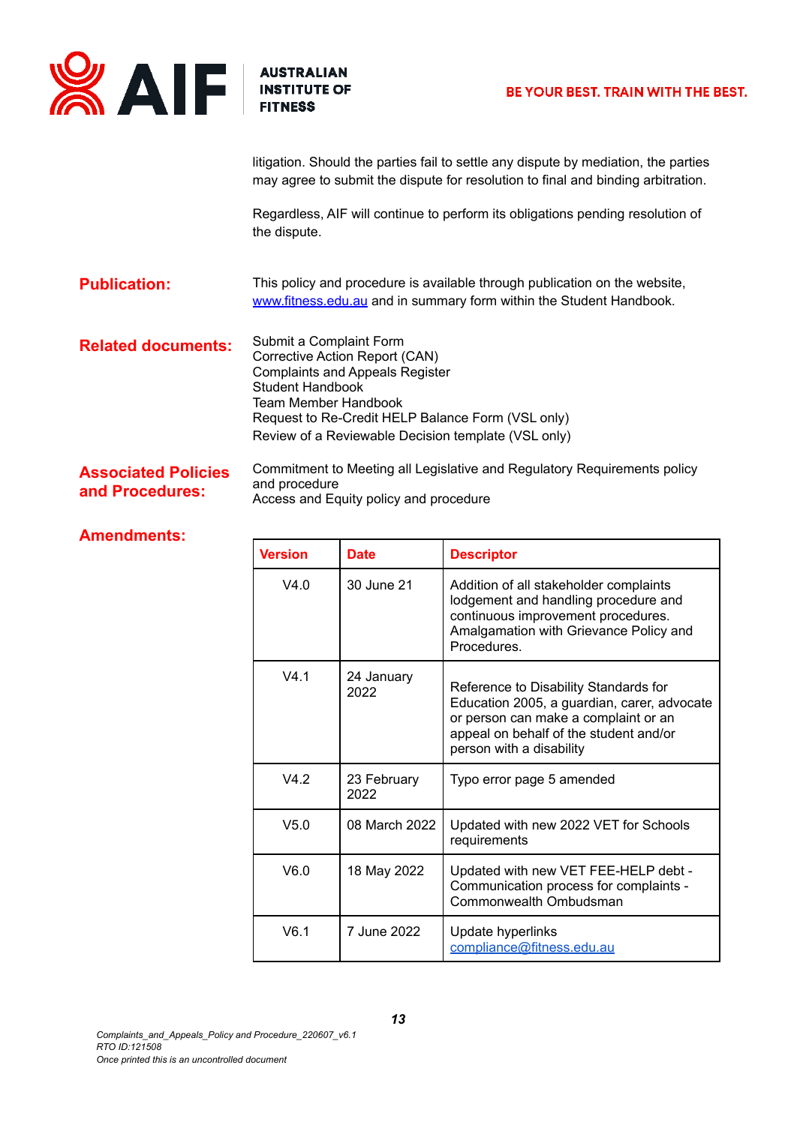

litigation. Should the parties fail to settle any dispute by mediation, the parties may agree to submit the dispute for resolution to final and binding arbitration.

Regardless, AIF will continue to perform its obligations pending resolution of the dispute.

**Publication:** This policy and procedure is available through publication on the website, [www.fitness.edu.au](http://www.fitness.edu.au) and in summary form within the Student Handbook.

**Related documents:** Submit a Complaint Form Corrective Action Report (CAN) Complaints and Appeals Register Student Handbook Team Member Handbook Request to Re-Credit HELP Balance Form (VSL only) Review of a Reviewable Decision template (VSL only)

**Associated Policies and Procedures:** Commitment to Meeting all Legislative and Regulatory Requirements policy and procedure Access and Equity policy and procedure

## **Amendments:**

| <b>Version</b>  | <b>Date</b>         | <b>Descriptor</b>                                                                                                                                                                                  |
|-----------------|---------------------|----------------------------------------------------------------------------------------------------------------------------------------------------------------------------------------------------|
| V4.0            | 30 June 21          | Addition of all stakeholder complaints<br>lodgement and handling procedure and<br>continuous improvement procedures.<br>Amalgamation with Grievance Policy and<br>Procedures.                      |
| V4 <sub>1</sub> | 24 January<br>2022  | Reference to Disability Standards for<br>Education 2005, a guardian, carer, advocate<br>or person can make a complaint or an<br>appeal on behalf of the student and/or<br>person with a disability |
| V4.2            | 23 February<br>2022 | Typo error page 5 amended                                                                                                                                                                          |
| V5.0            | 08 March 2022       | Updated with new 2022 VET for Schools<br>requirements                                                                                                                                              |
| V6.0            | 18 May 2022         | Updated with new VET FEE-HELP debt -<br>Communication process for complaints -<br>Commonwealth Ombudsman                                                                                           |
| V6.1            | 7 June 2022         | Update hyperlinks<br>compliance@fitness.edu.au                                                                                                                                                     |